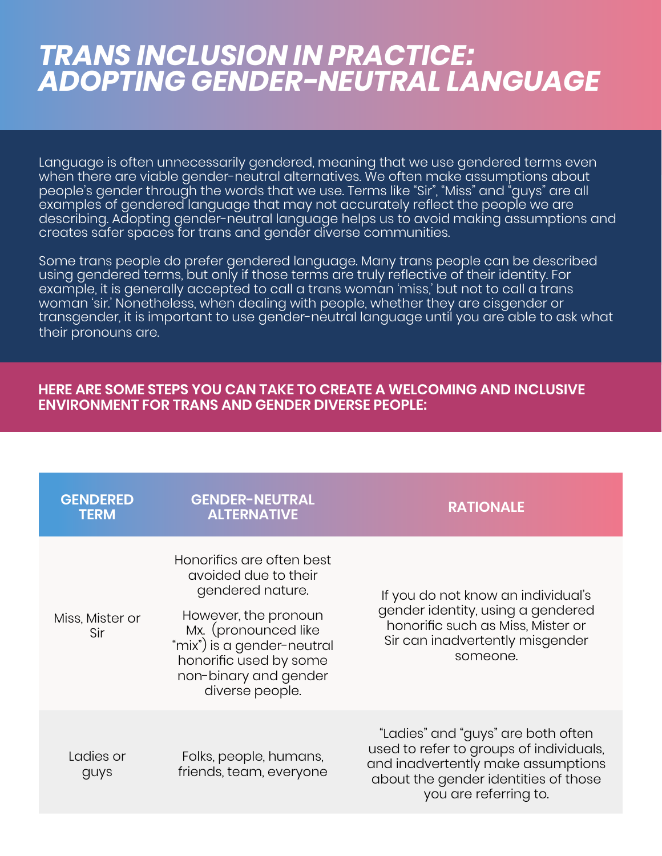## *TRANS INCLUSION IN PRACTICE: ADOPTING GENDER-NEUTRAL LANGUAGE*

Language is often unnecessarily gendered, meaning that we use gendered terms even when there are viable gender-neutral alternatives. We often make assumptions about people's gender through the words that we use. Terms like "Sir", "Miss" and "guys" are all examples of gendered language that may not accurately reflect the people we are describing. Adopting gender-neutral language helps us to avoid making assumptions and creates safer spaces for trans and gender diverse communities.

Some trans people do prefer gendered language. Many trans people can be described using gendered terms, but only if those terms are truly reflective of their identity. For example, it is generally accepted to call a trans woman 'miss,' but not to call a trans woman 'sir.' Nonetheless, when dealing with people, whether they are cisgender or transgender, it is important to use gender-neutral language until you are able to ask what their pronouns are.

## **HERE ARE SOME STEPS YOU CAN TAKE TO CREATE A WELCOMING AND INCLUSIVE ENVIRONMENT FOR TRANS AND GENDER DIVERSE PEOPLE:**

| <b>GENDERED</b><br><b>TERM</b> | <b>GENDER-NEUTRAL</b><br><b>ALTERNATIVE</b>                                                                                                                                                                               | <b>RATIONALE</b>                                                                                                                                                                     |
|--------------------------------|---------------------------------------------------------------------------------------------------------------------------------------------------------------------------------------------------------------------------|--------------------------------------------------------------------------------------------------------------------------------------------------------------------------------------|
| Miss, Mister or<br>Sir         | Honorifics are often best<br>avoided due to their<br>gendered nature.<br>However, the pronoun<br>Mx. (pronounced like<br>"mix") is a gender-neutral<br>honorific used by some<br>non-binary and gender<br>diverse people. | If you do not know an individual's<br>gender identity, using a gendered<br>honorific such as Miss, Mister or<br>Sir can inadvertently misgender<br>someone.                          |
| Ladies or<br>guys              | Folks, people, humans,<br>friends, team, everyone                                                                                                                                                                         | "Ladies" and "guys" are both often<br>used to refer to groups of individuals,<br>and inadvertently make assumptions<br>about the gender identities of those<br>you are referring to. |